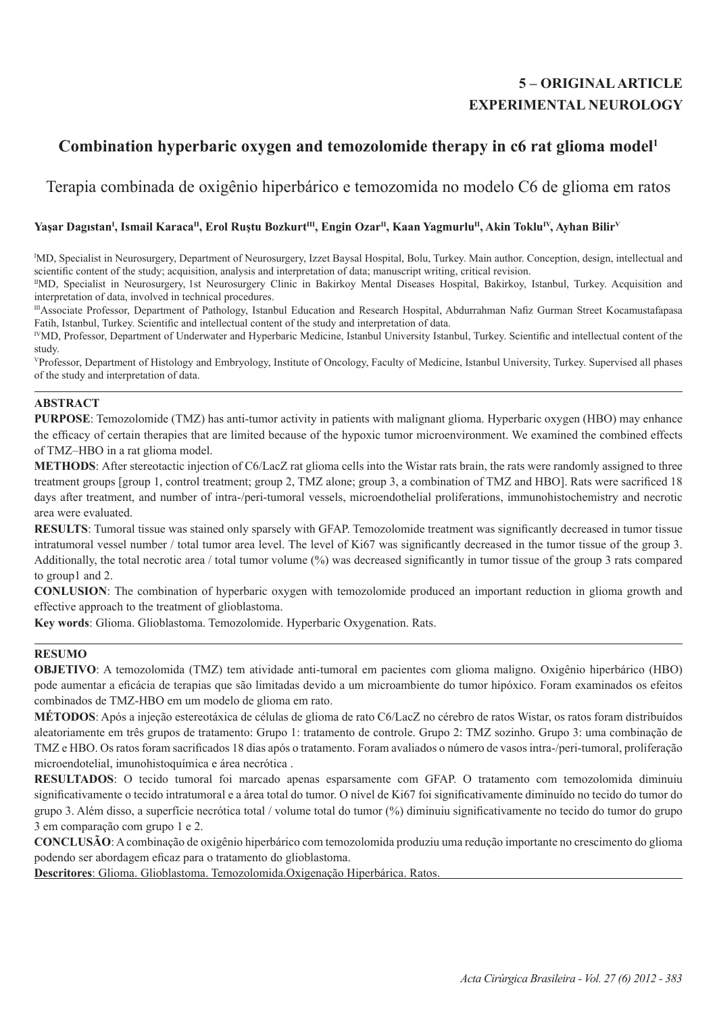# **5 – ORIGINAL ARTICLE EXPERIMENTAL NEUROLOGY**

# Combination hyperbaric oxygen and temozolomide therapy in c6 rat glioma model<sup>1</sup>

# Terapia combinada de oxigênio hiperbárico e temozomida no modelo C6 de glioma em ratos

## **Yaşar Dagıstan<sup>I</sup> , Ismail KaracaII, Erol Ruştu BozkurtIII, Engin OzarII, Kaan YagmurluII, Akin TokluIV, Ayhan BilirV**

I MD, Specialist in Neurosurgery, Department of Neurosurgery, Izzet Baysal Hospital, Bolu, Turkey. Main author. Conception, design, intellectual and scientific content of the study; acquisition, analysis and interpretation of data; manuscript writing, critical revision.

IIMD, Specialist in Neurosurgery, 1st Neurosurgery Clinic in Bakirkoy Mental Diseases Hospital, Bakirkoy, Istanbul, Turkey. Acquisition and interpretation of data, involved in technical procedures.

IIIAssociate Professor, Department of Pathology, Istanbul Education and Research Hospital, Abdurrahman Nafiz Gurman Street Kocamustafapasa Fatih, Istanbul, Turkey. Scientific and intellectual content of the study and interpretation of data.

IVMD, Professor, Department of Underwater and Hyperbaric Medicine, Istanbul University Istanbul, Turkey. Scientific and intellectual content of the study.

VProfessor, Department of Histology and Embryology, Institute of Oncology, Faculty of Medicine, Istanbul University, Turkey. Supervised all phases of the study and interpretation of data.

## **ABSTRACT**

**PURPOSE**: Temozolomide (TMZ) has anti-tumor activity in patients with malignant glioma. Hyperbaric oxygen (HBO) may enhance the efficacy of certain therapies that are limited because of the hypoxic tumor microenvironment. We examined the combined effects of TMZ–HBO in a rat glioma model.

**METHODS**: After stereotactic injection of C6/LacZ rat glioma cells into the Wistar rats brain, the rats were randomly assigned to three treatment groups [group 1, control treatment; group 2, TMZ alone; group 3, a combination of TMZ and HBO]. Rats were sacrificed 18 days after treatment, and number of intra-/peri-tumoral vessels, microendothelial proliferations, immunohistochemistry and necrotic area were evaluated.

**RESULTS**: Tumoral tissue was stained only sparsely with GFAP. Temozolomide treatment was significantly decreased in tumor tissue intratumoral vessel number / total tumor area level. The level of Ki67 was significantly decreased in the tumor tissue of the group 3. Additionally, the total necrotic area / total tumor volume (%) was decreased significantly in tumor tissue of the group 3 rats compared to group1 and 2.

**CONLUSION**: The combination of hyperbaric oxygen with temozolomide produced an important reduction in glioma growth and effective approach to the treatment of glioblastoma.

**Key words**: Glioma. Glioblastoma. Temozolomide. Hyperbaric Oxygenation. Rats.

## **RESUMO**

**OBJETIVO**: A temozolomida (TMZ) tem atividade anti-tumoral em pacientes com glioma maligno. Oxigênio hiperbárico (HBO) pode aumentar a eficácia de terapias que são limitadas devido a um microambiente do tumor hipóxico. Foram examinados os efeitos combinados de TMZ-HBO em um modelo de glioma em rato.

**MÉTODOS**: Após a injeção estereotáxica de células de glioma de rato C6/LacZ no cérebro de ratos Wistar, os ratos foram distribuídos aleatoriamente em três grupos de tratamento: Grupo 1: tratamento de controle. Grupo 2: TMZ sozinho. Grupo 3: uma combinação de TMZ e HBO. Os ratos foram sacrificados 18 dias após o tratamento. Foram avaliados o número de vasos intra-/peri-tumoral, proliferação microendotelial, imunohistoquímica e área necrótica .

**RESULTADOS**: O tecido tumoral foi marcado apenas esparsamente com GFAP. O tratamento com temozolomida diminuiu significativamente o tecido intratumoral e a área total do tumor. O nível de Ki67 foi significativamente diminuído no tecido do tumor do grupo 3. Além disso, a superfície necrótica total / volume total do tumor (%) diminuiu significativamente no tecido do tumor do grupo 3 em comparação com grupo 1 e 2.

**CONCLUSÃO**: A combinação de oxigênio hiperbárico com temozolomida produziu uma redução importante no crescimento do glioma podendo ser abordagem eficaz para o tratamento do glioblastoma.

**Descritores**: Glioma. Glioblastoma. Temozolomida.Oxigenação Hiperbárica. Ratos.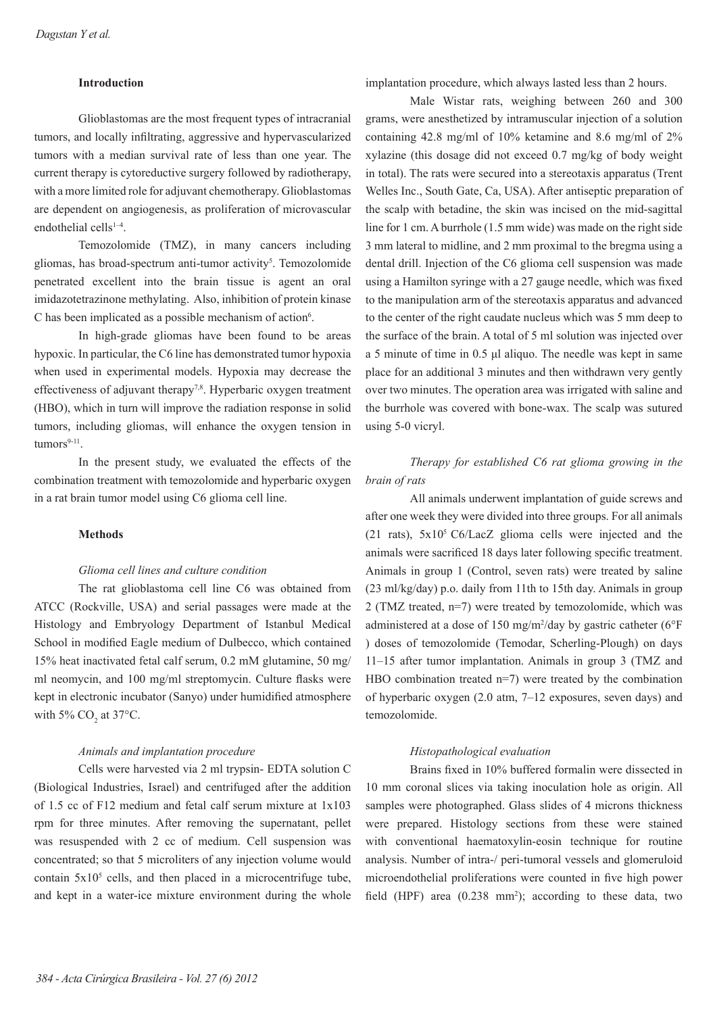## **Introduction**

Glioblastomas are the most frequent types of intracranial tumors, and locally infiltrating, aggressive and hypervascularized tumors with a median survival rate of less than one year. The current therapy is cytoreductive surgery followed by radiotherapy, with a more limited role for adjuvant chemotherapy. Glioblastomas are dependent on angiogenesis, as proliferation of microvascular endothelial cells<sup>1-4</sup>.

Temozolomide (TMZ), in many cancers including gliomas, has broad-spectrum anti-tumor activity<sup>5</sup>. Temozolomide penetrated excellent into the brain tissue is agent an oral imidazotetrazinone methylating. Also, inhibition of protein kinase C has been implicated as a possible mechanism of action<sup>6</sup>.

In high-grade gliomas have been found to be areas hypoxic. In particular, the C6 line has demonstrated tumor hypoxia when used in experimental models. Hypoxia may decrease the effectiveness of adjuvant therapy<sup>7,8</sup>. Hyperbaric oxygen treatment (HBO), which in turn will improve the radiation response in solid tumors, including gliomas, will enhance the oxygen tension in  $t$ umors $9-11$ .

In the present study, we evaluated the effects of the combination treatment with temozolomide and hyperbaric oxygen in a rat brain tumor model using C6 glioma cell line.

### **Methods**

#### *Glioma cell lines and culture condition*

The rat glioblastoma cell line C6 was obtained from ATCC (Rockville, USA) and serial passages were made at the Histology and Embryology Department of Istanbul Medical School in modified Eagle medium of Dulbecco, which contained 15% heat inactivated fetal calf serum, 0.2 mM glutamine, 50 mg/ ml neomycin, and 100 mg/ml streptomycin. Culture flasks were kept in electronic incubator (Sanyo) under humidified atmosphere with 5%  $CO<sub>2</sub>$  at 37°C.

#### *Animals and implantation procedure*

Cells were harvested via 2 ml trypsin- EDTA solution C (Biological Industries, Israel) and centrifuged after the addition of 1.5 cc of F12 medium and fetal calf serum mixture at 1x103 rpm for three minutes. After removing the supernatant, pellet was resuspended with 2 cc of medium. Cell suspension was concentrated; so that 5 microliters of any injection volume would contain  $5x10<sup>5</sup>$  cells, and then placed in a microcentrifuge tube, and kept in a water-ice mixture environment during the whole

implantation procedure, which always lasted less than 2 hours.

Male Wistar rats, weighing between 260 and 300 grams, were anesthetized by intramuscular injection of a solution containing 42.8 mg/ml of 10% ketamine and 8.6 mg/ml of 2% xylazine (this dosage did not exceed 0.7 mg/kg of body weight in total). The rats were secured into a stereotaxis apparatus (Trent Welles Inc., South Gate, Ca, USA). After antiseptic preparation of the scalp with betadine, the skin was incised on the mid-sagittal line for 1 cm. A burrhole (1.5 mm wide) was made on the right side 3 mm lateral to midline, and 2 mm proximal to the bregma using a dental drill. Injection of the C6 glioma cell suspension was made using a Hamilton syringe with a 27 gauge needle, which was fixed to the manipulation arm of the stereotaxis apparatus and advanced to the center of the right caudate nucleus which was 5 mm deep to the surface of the brain. A total of 5 ml solution was injected over a 5 minute of time in 0.5 μl aliquo. The needle was kept in same place for an additional 3 minutes and then withdrawn very gently over two minutes. The operation area was irrigated with saline and the burrhole was covered with bone-wax. The scalp was sutured using 5-0 vicryl.

# *Therapy for established C6 rat glioma growing in the brain of rats*

All animals underwent implantation of guide screws and after one week they were divided into three groups. For all animals (21 rats),  $5x10^5$  C6/LacZ glioma cells were injected and the animals were sacrificed 18 days later following specific treatment. Animals in group 1 (Control, seven rats) were treated by saline (23 ml/kg/day) p.o. daily from 11th to 15th day. Animals in group 2 (TMZ treated, n=7) were treated by temozolomide, which was administered at a dose of 150 mg/m2 /day by gastric catheter (6°F ) doses of temozolomide (Temodar, Scherling-Plough) on days 11–15 after tumor implantation. Animals in group 3 (TMZ and HBO combination treated n=7) were treated by the combination of hyperbaric oxygen (2.0 atm, 7–12 exposures, seven days) and temozolomide.

### *Histopathological evaluation*

Brains fixed in 10% buffered formalin were dissected in 10 mm coronal slices via taking inoculation hole as origin. All samples were photographed. Glass slides of 4 microns thickness were prepared. Histology sections from these were stained with conventional haematoxylin-eosin technique for routine analysis. Number of intra-/ peri-tumoral vessels and glomeruloid microendothelial proliferations were counted in five high power field (HPF) area  $(0.238 \text{ mm}^2)$ ; according to these data, two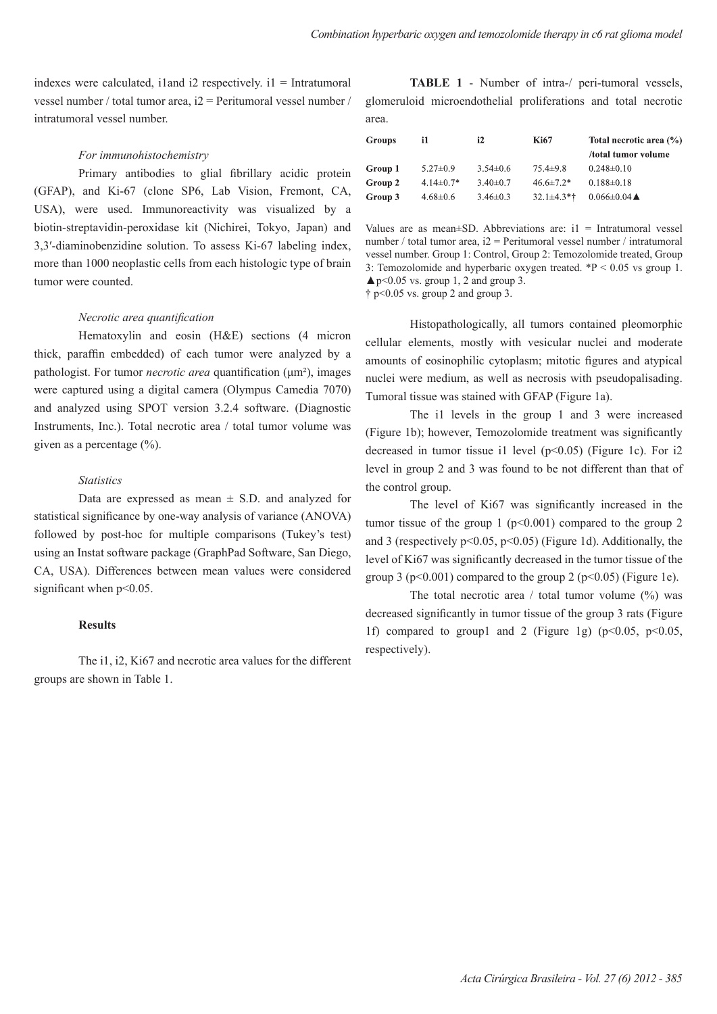indexes were calculated, i1and i2 respectively.  $i = Intra$ tumoral vessel number / total tumor area, i2 = Peritumoral vessel number / intratumoral vessel number.

### *For immunohistochemistry*

Primary antibodies to glial fibrillary acidic protein (GFAP), and Ki-67 (clone SP6, Lab Vision, Fremont, CA, USA), were used. Immunoreactivity was visualized by a biotin-streptavidin-peroxidase kit (Nichirei, Tokyo, Japan) and 3,3′-diaminobenzidine solution. To assess Ki-67 labeling index, more than 1000 neoplastic cells from each histologic type of brain tumor were counted.

#### *Necrotic area quantification*

Hematoxylin and eosin (H&E) sections (4 micron thick, paraffin embedded) of each tumor were analyzed by a pathologist. For tumor *necrotic area* quantification (μm²), images were captured using a digital camera (Olympus Camedia 7070) and analyzed using SPOT version 3.2.4 software. (Diagnostic Instruments, Inc.). Total necrotic area / total tumor volume was given as a percentage  $(\% )$ .

### *Statistics*

Data are expressed as mean  $\pm$  S.D. and analyzed for statistical significance by one-way analysis of variance (ANOVA) followed by post-hoc for multiple comparisons (Tukey's test) using an Instat software package (GraphPad Software, San Diego, CA, USA). Differences between mean values were considered significant when  $p<0.05$ .

#### **Results**

The i1, i2, Ki67 and necrotic area values for the different groups are shown in Table 1.

**TABLE 1** - Number of intra-/ peri-tumoral vessels, glomeruloid microendothelial proliferations and total necrotic area.

| i1.             | i2             | <b>Ki67</b>     | Total necrotic area (%)      |
|-----------------|----------------|-----------------|------------------------------|
|                 |                |                 | /total tumor volume          |
| $5.27 \pm 0.9$  | $3.54 \pm 0.6$ | $75.4 \pm 9.8$  | $0.248 \pm 0.10$             |
| $4.14 \pm 0.7*$ | $3.40\pm0.7$   | $46.6 \pm 7.2*$ | $0.188 \pm 0.18$             |
| $4.68 \pm 0.6$  | $3.46 \pm 0.3$ | $32.1 \pm 4.3*$ | $0.066 \pm 0.04$ $\triangle$ |
|                 |                |                 |                              |

Values are as mean $\pm$ SD. Abbreviations are: i1 = Intratumoral vessel number / total tumor area, i2 = Peritumoral vessel number / intratumoral vessel number. Group 1: Control, Group 2: Temozolomide treated, Group 3: Temozolomide and hyperbaric oxygen treated.  $*P < 0.05$  vs group 1.  $\blacktriangle$  p<0.05 vs. group 1, 2 and group 3.

 $\dagger$  p<0.05 vs. group 2 and group 3.

Histopathologically, all tumors contained pleomorphic cellular elements, mostly with vesicular nuclei and moderate amounts of eosinophilic cytoplasm; mitotic figures and atypical nuclei were medium, as well as necrosis with pseudopalisading. Tumoral tissue was stained with GFAP (Figure 1a).

The i1 levels in the group 1 and 3 were increased (Figure 1b); however, Temozolomide treatment was significantly decreased in tumor tissue i1 level (p<0.05) (Figure 1c). For i2 level in group 2 and 3 was found to be not different than that of the control group.

The level of Ki67 was significantly increased in the tumor tissue of the group 1 ( $p \le 0.001$ ) compared to the group 2 and 3 (respectively  $p<0.05$ ,  $p<0.05$ ) (Figure 1d). Additionally, the level of Ki67 was significantly decreased in the tumor tissue of the group 3 ( $p<0.001$ ) compared to the group 2 ( $p<0.05$ ) (Figure 1e).

The total necrotic area  $/$  total tumor volume  $(^{9}$ <sub>0</sub>) was decreased significantly in tumor tissue of the group 3 rats (Figure 1f) compared to group1 and 2 (Figure 1g) ( $p<0.05$ ,  $p<0.05$ , respectively).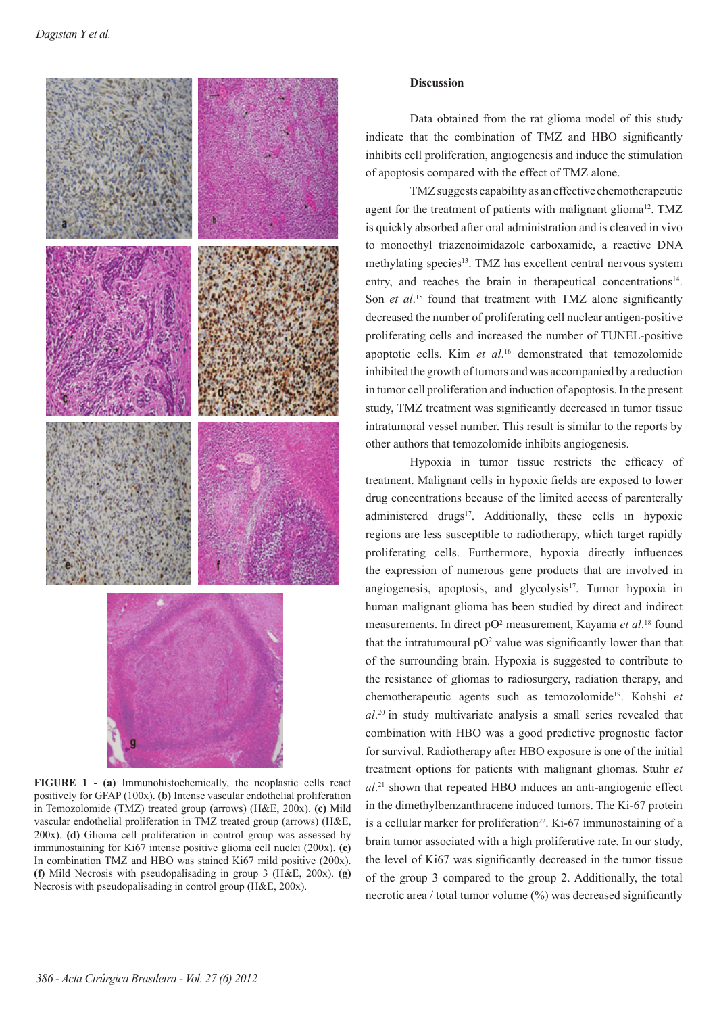

**FIGURE 1** - **(a)** Immunohistochemically, the neoplastic cells react positively for GFAP (100x). **(b)** Intense vascular endothelial proliferation in Temozolomide (TMZ) treated group (arrows) (H&E, 200x). **(c)** Mild vascular endothelial proliferation in TMZ treated group (arrows) (H&E, 200x). **(d)** Glioma cell proliferation in control group was assessed by immunostaining for Ki67 intense positive glioma cell nuclei (200x). **(e)**  In combination TMZ and HBO was stained Ki67 mild positive (200x). **(f)** Mild Necrosis with pseudopalisading in group 3 (H&E, 200x). **(g)**  Necrosis with pseudopalisading in control group (H&E, 200x).

#### **Discussion**

Data obtained from the rat glioma model of this study indicate that the combination of TMZ and HBO significantly inhibits cell proliferation, angiogenesis and induce the stimulation of apoptosis compared with the effect of TMZ alone.

TMZ suggests capability as an effective chemotherapeutic agent for the treatment of patients with malignant glioma<sup>12</sup>. TMZ is quickly absorbed after oral administration and is cleaved in vivo to monoethyl triazenoimidazole carboxamide, a reactive DNA methylating species<sup>13</sup>. TMZ has excellent central nervous system entry, and reaches the brain in therapeutical concentrations<sup>14</sup>. Son *et al.*<sup>15</sup> found that treatment with TMZ alone significantly decreased the number of proliferating cell nuclear antigen-positive proliferating cells and increased the number of TUNEL-positive apoptotic cells. Kim *et al*. 16 demonstrated that temozolomide inhibited the growth of tumors and was accompanied by a reduction in tumor cell proliferation and induction of apoptosis. In the present study, TMZ treatment was significantly decreased in tumor tissue intratumoral vessel number. This result is similar to the reports by other authors that temozolomide inhibits angiogenesis.

Hypoxia in tumor tissue restricts the efficacy of treatment. Malignant cells in hypoxic fields are exposed to lower drug concentrations because of the limited access of parenterally administered drugs<sup>17</sup>. Additionally, these cells in hypoxic regions are less susceptible to radiotherapy, which target rapidly proliferating cells. Furthermore, hypoxia directly influences the expression of numerous gene products that are involved in angiogenesis, apoptosis, and glycolysis<sup>17</sup>. Tumor hypoxia in human malignant glioma has been studied by direct and indirect measurements. In direct pO<sup>2</sup> measurement, Kayama et al.<sup>18</sup> found that the intratumoural  $pO^2$  value was significantly lower than that of the surrounding brain. Hypoxia is suggested to contribute to the resistance of gliomas to radiosurgery, radiation therapy, and chemotherapeutic agents such as temozolomide<sup>19</sup>. Kohshi *et al*. 20 in study multivariate analysis a small series revealed that combination with HBO was a good predictive prognostic factor for survival. Radiotherapy after HBO exposure is one of the initial treatment options for patients with malignant gliomas. Stuhr *et al*. 21 shown that repeated HBO induces an anti-angiogenic effect in the dimethylbenzanthracene induced tumors. The Ki-67 protein is a cellular marker for proliferation<sup>22</sup>. Ki-67 immunostaining of a brain tumor associated with a high proliferative rate. In our study, the level of Ki67 was significantly decreased in the tumor tissue of the group 3 compared to the group 2. Additionally, the total necrotic area / total tumor volume (%) was decreased significantly